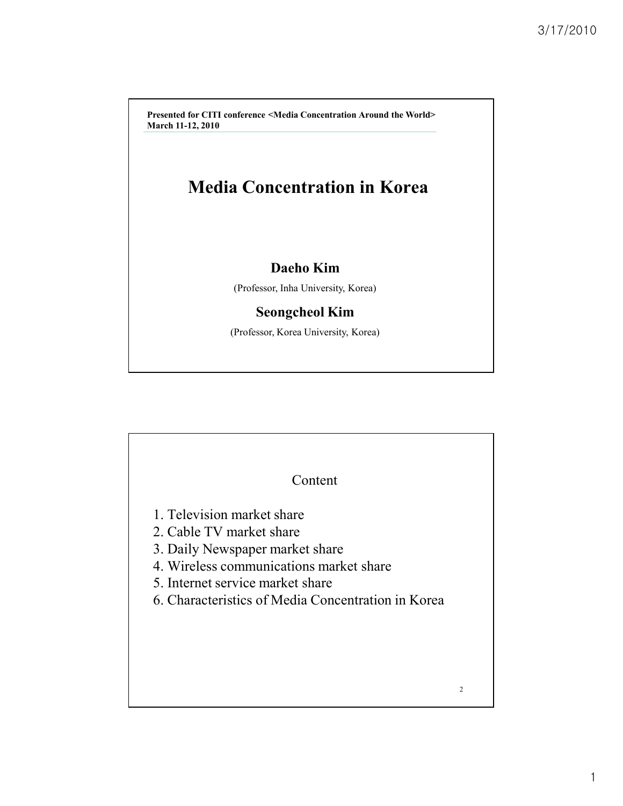**Presented for CITI conference <Media Concentration Around the World> March 11-12, 2010**

## **Media Concentration in Korea**

#### **Daeho Kim**

(Professor, Inha University, Korea)

### **Seongcheol Kim**

(Professor, Korea University, Korea)

| Content<br>1. Television market share<br>2. Cable TV market share<br>3. Daily Newspaper market share<br>4. Wireless communications market share<br>5. Internet service market share<br>6. Characteristics of Media Concentration in Korea |                |
|-------------------------------------------------------------------------------------------------------------------------------------------------------------------------------------------------------------------------------------------|----------------|
|                                                                                                                                                                                                                                           | $\overline{c}$ |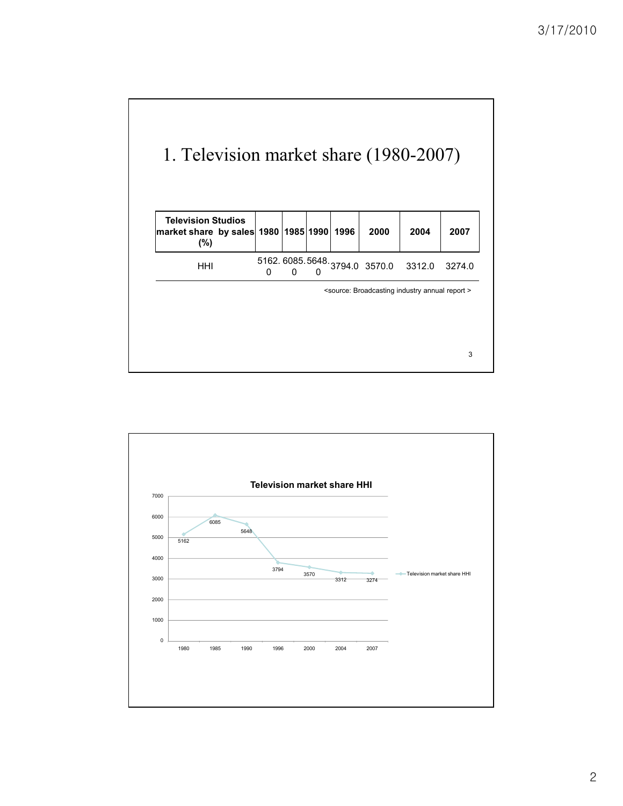

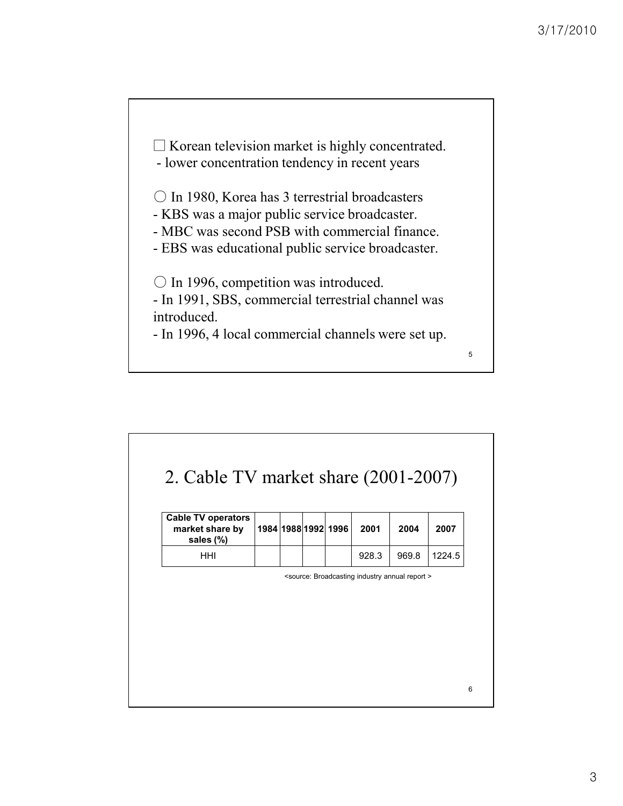

- lower concentration tendency in recent years

○ In 1980, Korea has 3 terrestrial broadcasters

- KBS was a major public service broadcaster.

- MBC was second PSB with commercial finance.

- EBS was educational public service broadcaster.

○ In 1996, competition was introduced.

- In 1991, SBS, commercial terrestrial channel was introduced.

- In 1996, 4 local commercial channels were set up.

## 2. Cable TV market share (2001-2007)

| <b>Cable TV operators</b><br>market share by<br>sales (%) |  | 1984   1988   1992   1996 | 2001  | 2004  | 2007   |
|-----------------------------------------------------------|--|---------------------------|-------|-------|--------|
| HHI                                                       |  |                           | 928.3 | 969.8 | 1224.5 |

<source: Broadcasting industry annual report >

5

6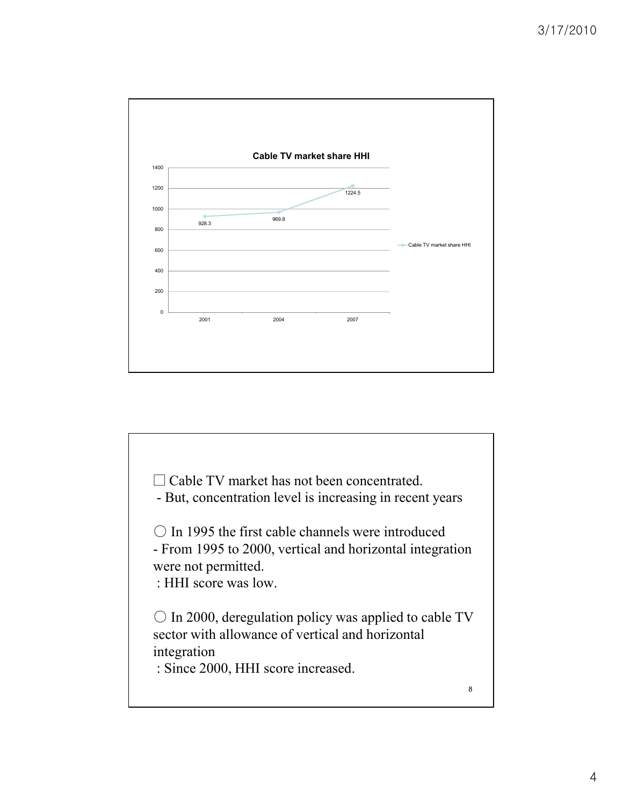

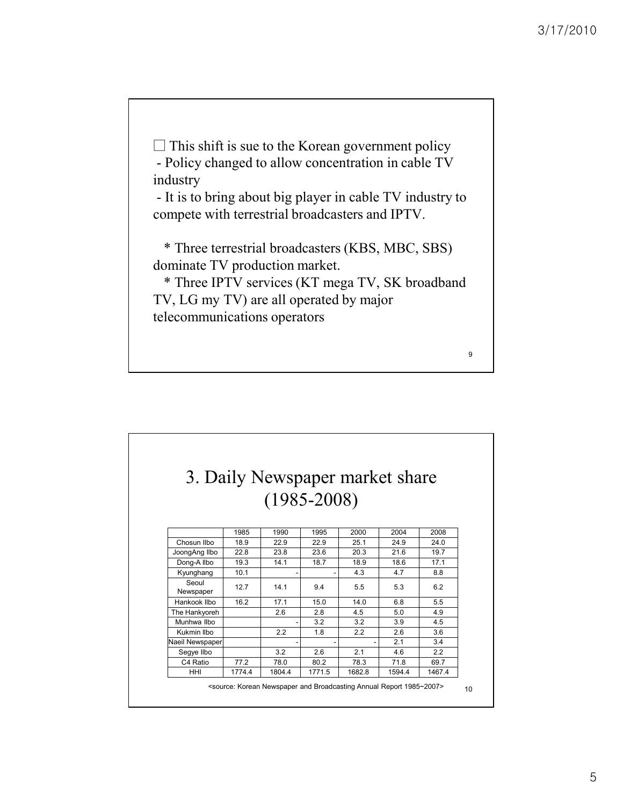$\square$  This shift is sue to the Korean government policy - Policy changed to allow concentration in cable TV industry - It is to bring about big player in cable TV industry to compete with terrestrial broadcasters and IPTV.

\* Three terrestrial broadcasters (KBS, MBC, SBS)

dominate TV production market.

\* Three IPTV services (KT mega TV, SK broadband TV, LG my TV) are all operated by major telecommunications operators

9

| 3. Daily Newspaper market share |        |        |                 |        |        |        |
|---------------------------------|--------|--------|-----------------|--------|--------|--------|
|                                 |        |        |                 |        |        |        |
|                                 |        |        | $(1985 - 2008)$ |        |        |        |
|                                 |        |        |                 |        |        |        |
|                                 | 1985   | 1990   | 1995            | 2000   | 2004   | 2008   |
| Chosun Ilbo                     | 18.9   | 22.9   | 22.9            | 25.1   | 24.9   | 24.0   |
| JoongAng Ilbo                   | 22.8   | 23.8   | 23.6            | 20.3   | 21.6   | 19.7   |
| Dong-A Ilbo                     | 19.3   | 14.1   | 18.7            | 18.9   | 18.6   | 17.1   |
| Kyunghang                       | 10.1   |        |                 | 4.3    | 4.7    | 8.8    |
| Seoul<br>Newspaper              | 127    | 141    | 9.4             | 5.5    | 5.3    | 6.2    |
| Hankook Ilbo                    | 16.2   | 17.1   | 15.0            | 14.0   | 6.8    | 5.5    |
| The Hankyoreh                   |        | 2.6    | 2.8             | 4.5    | 5.0    | 4.9    |
| Munhwa Ilbo                     |        |        | 3.2             | 3.2    | 3.9    | 4.5    |
| Kukmin Ilbo                     |        | 2.2    | 1.8             | 2.2    | 2.6    | 3.6    |
| Naeil Newspaper                 |        |        |                 |        | 21     | 3.4    |
| Segye Ilbo                      |        | 3.2    | 2.6             | 2.1    | 4.6    | 2.2    |
| C4 Ratio                        | 77.2   | 78.0   | 80.2            | 78.3   | 71.8   | 69.7   |
| HHI                             | 1774.4 | 1804.4 | 1771.5          | 1682.8 | 1594.4 | 1467.4 |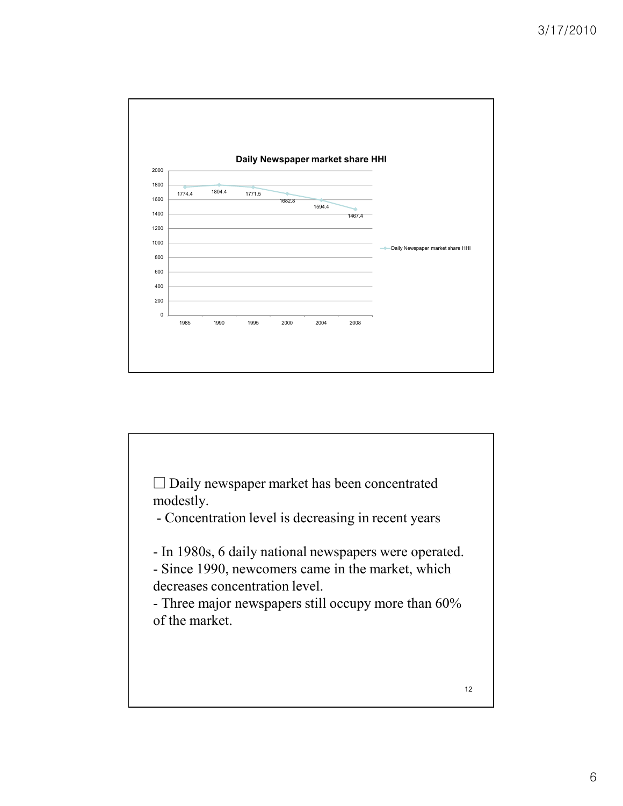

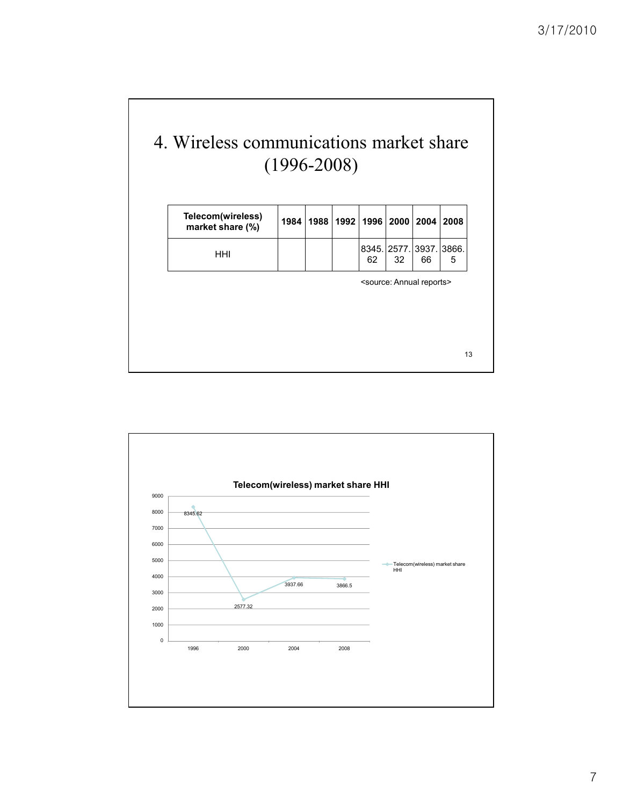# 4. Wireless communications market share (1996-2008)

| Telecom(wireless)<br>market share (%) | 1984 |  | 1988   1992   1996   2000   2004   2008 |                                          |    |   |
|---------------------------------------|------|--|-----------------------------------------|------------------------------------------|----|---|
| HHI                                   |      |  | 62                                      | 8345. 2577. 3937. 3866.<br>32            | 66 | 5 |
|                                       |      |  |                                         | <source: annual="" reports=""></source:> |    |   |
|                                       |      |  |                                         |                                          |    |   |
|                                       |      |  |                                         |                                          |    |   |
|                                       |      |  |                                         |                                          |    |   |

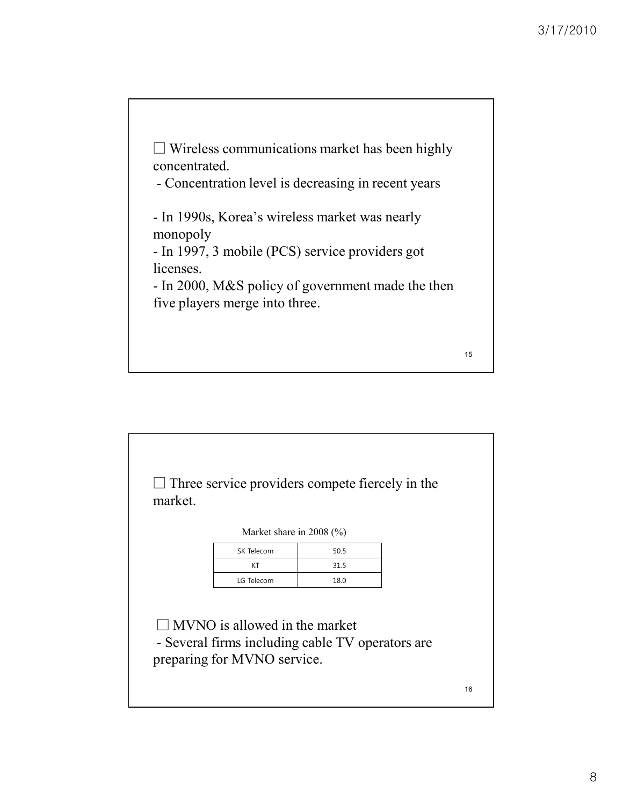$\square$  Wireless communications market has been highly concentrated. - Concentration level is decreasing in recent years - In 1990s, Korea's wireless market was nearly monopoly - In 1997, 3 mobile (PCS) service providers got licenses. - In 2000, M&S policy of government made the then five players merge into three. 15

 $\square$  Three service providers compete fiercely in the market. Market share in 2008 (%)  $\Box$  MVNO is allowed in the market - Several firms including cable TV operators are preparing for MVNO service. SK Telecom 50.5 KT  $31.5$ LG Telecom 18.0 16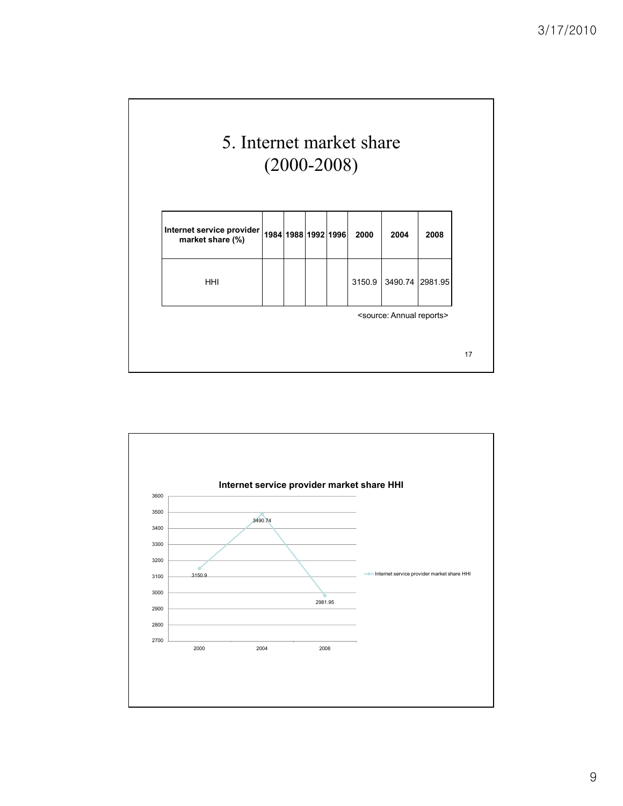

| 3490.74 2981.95<br>3150.9<br><b>HHI</b><br><source: annual="" reports=""></source:> | Internet service provider<br>market share (%) |  | 1984 1988 1992 1996 | 2000 | 2004 | 2008 |
|-------------------------------------------------------------------------------------|-----------------------------------------------|--|---------------------|------|------|------|
|                                                                                     |                                               |  |                     |      |      |      |
|                                                                                     |                                               |  |                     |      |      |      |